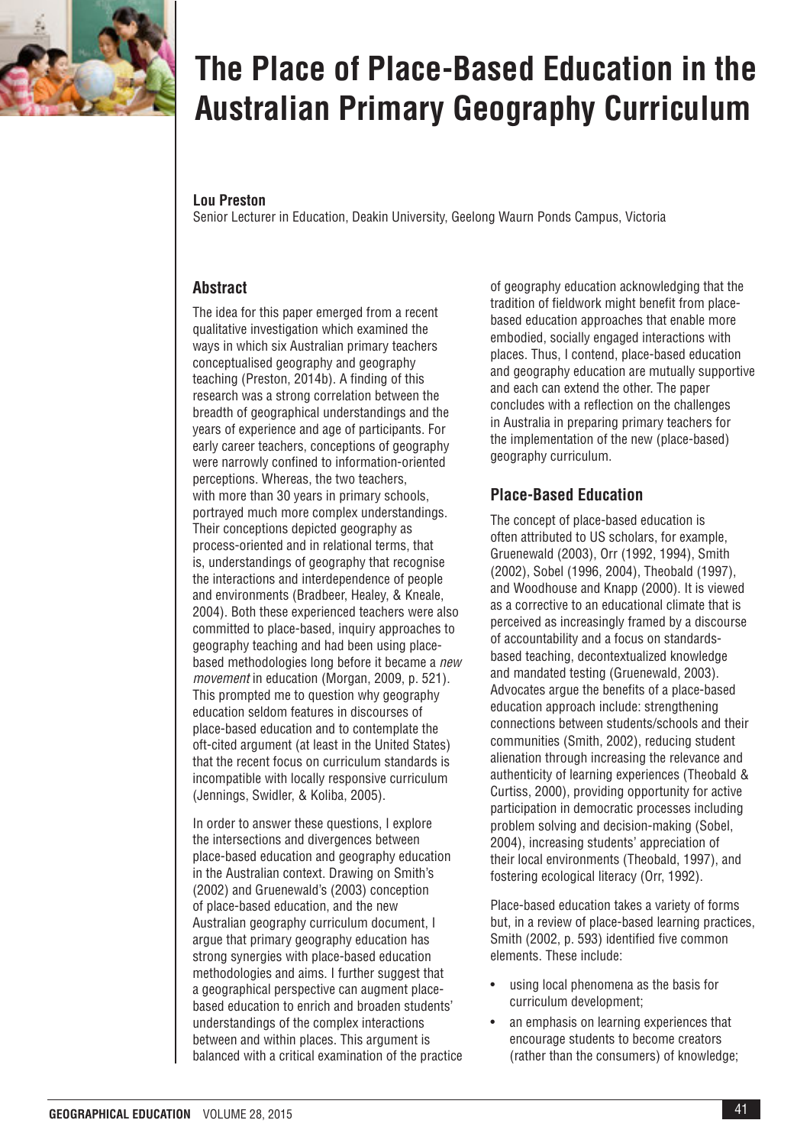

# **The Place of Place-Based Education in the Australian Primary Geography Curriculum**

### **Lou Preston**

Senior Lecturer in Education, Deakin University, Geelong Waurn Ponds Campus, Victoria

# **Abstract**

The idea for this paper emerged from a recent qualitative investigation which examined the ways in which six Australian primary teachers conceptualised geography and geography teaching (Preston, 2014b). A finding of this research was a strong correlation between the breadth of geographical understandings and the years of experience and age of participants. For early career teachers, conceptions of geography were narrowly confined to information-oriented perceptions. Whereas, the two teachers, with more than 30 years in primary schools, portrayed much more complex understandings. Their conceptions depicted geography as process-oriented and in relational terms, that is, understandings of geography that recognise the interactions and interdependence of people and environments (Bradbeer, Healey, & Kneale, 2004). Both these experienced teachers were also committed to place-based, inquiry approaches to geography teaching and had been using placebased methodologies long before it became a *new movement* in education (Morgan, 2009, p. 521). This prompted me to question why geography education seldom features in discourses of place-based education and to contemplate the oft-cited argument (at least in the United States) that the recent focus on curriculum standards is incompatible with locally responsive curriculum (Jennings, Swidler, & Koliba, 2005).

In order to answer these questions, I explore the intersections and divergences between place-based education and geography education in the Australian context. Drawing on Smith's (2002) and Gruenewald's (2003) conception of place-based education, and the new Australian geography curriculum document, I argue that primary geography education has strong synergies with place-based education methodologies and aims. I further suggest that a geographical perspective can augment placebased education to enrich and broaden students' understandings of the complex interactions between and within places. This argument is balanced with a critical examination of the practice of geography education acknowledging that the tradition of fieldwork might benefit from placebased education approaches that enable more embodied, socially engaged interactions with places. Thus, I contend, place-based education and geography education are mutually supportive and each can extend the other. The paper concludes with a reflection on the challenges in Australia in preparing primary teachers for the implementation of the new (place-based) geography curriculum.

# **Place-Based Education**

The concept of place-based education is often attributed to US scholars, for example, Gruenewald (2003), Orr (1992, 1994), Smith (2002), Sobel (1996, 2004), Theobald (1997), and Woodhouse and Knapp (2000). It is viewed as a corrective to an educational climate that is perceived as increasingly framed by a discourse of accountability and a focus on standardsbased teaching, decontextualized knowledge and mandated testing (Gruenewald, 2003). Advocates argue the benefits of a place-based education approach include: strengthening connections between students/schools and their communities (Smith, 2002), reducing student alienation through increasing the relevance and authenticity of learning experiences (Theobald & Curtiss, 2000), providing opportunity for active participation in democratic processes including problem solving and decision-making (Sobel, 2004), increasing students' appreciation of their local environments (Theobald, 1997), and fostering ecological literacy (Orr, 1992).

Place-based education takes a variety of forms but, in a review of place-based learning practices, Smith (2002, p. 593) identified five common elements. These include:

- using local phenomena as the basis for curriculum development;
- an emphasis on learning experiences that encourage students to become creators (rather than the consumers) of knowledge;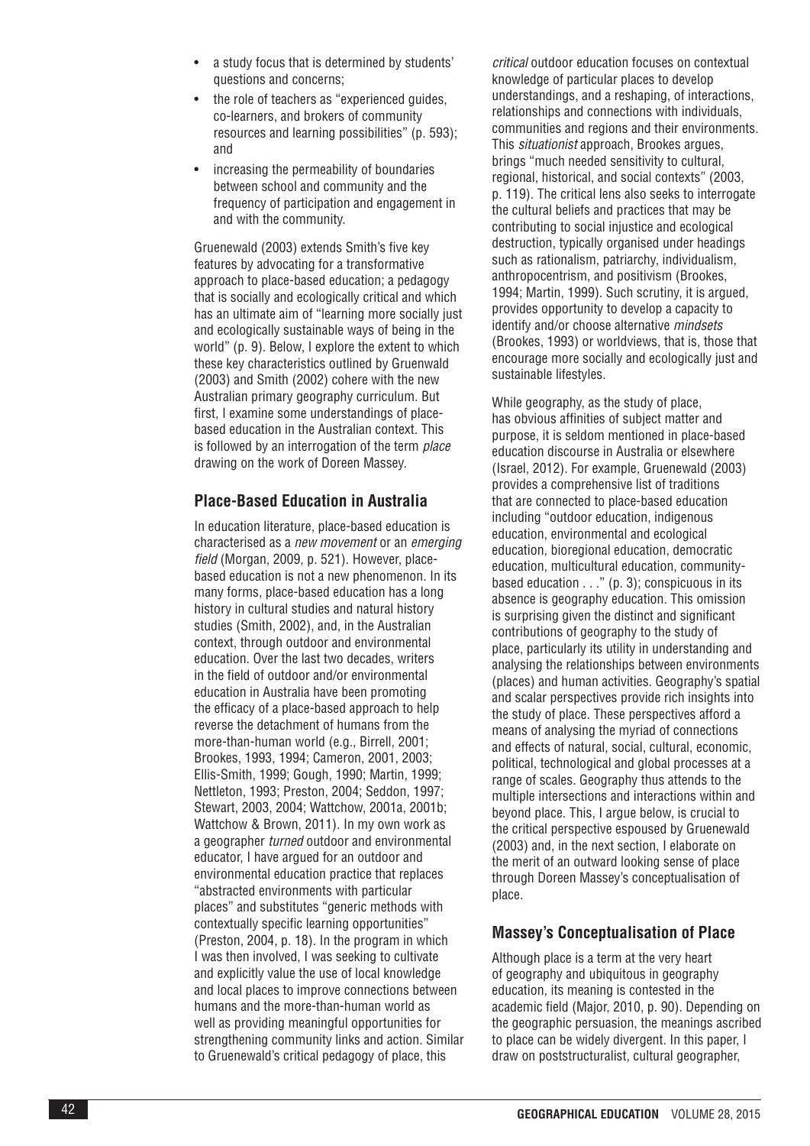- a study focus that is determined by students' questions and concerns;
- the role of teachers as "experienced guides, co-learners, and brokers of community resources and learning possibilities" (p. 593); and
- increasing the permeability of boundaries between school and community and the frequency of participation and engagement in and with the community.

Gruenewald (2003) extends Smith's five key features by advocating for a transformative approach to place-based education; a pedagogy that is socially and ecologically critical and which has an ultimate aim of "learning more socially just and ecologically sustainable ways of being in the world" (p. 9). Below, I explore the extent to which these key characteristics outlined by Gruenwald (2003) and Smith (2002) cohere with the new Australian primary geography curriculum. But first, I examine some understandings of placebased education in the Australian context. This is followed by an interrogation of the term *place* drawing on the work of Doreen Massey.

## **Place-Based Education in Australia**

In education literature, place-based education is characterised as a *new movement* or an *emerging field* (Morgan, 2009, p. 521). However, placebased education is not a new phenomenon. In its many forms, place-based education has a long history in cultural studies and natural history studies (Smith, 2002), and, in the Australian context, through outdoor and environmental education. Over the last two decades, writers in the field of outdoor and/or environmental education in Australia have been promoting the efficacy of a place-based approach to help reverse the detachment of humans from the more-than-human world (e.g., Birrell, 2001; Brookes, 1993, 1994; Cameron, 2001, 2003; Ellis-Smith, 1999; Gough, 1990; Martin, 1999; Nettleton, 1993; Preston, 2004; Seddon, 1997; Stewart, 2003, 2004; Wattchow, 2001a, 2001b; Wattchow & Brown, 2011). In my own work as a geographer *turned* outdoor and environmental educator, I have argued for an outdoor and environmental education practice that replaces "abstracted environments with particular places" and substitutes "generic methods with contextually specific learning opportunities" (Preston, 2004, p. 18). In the program in which I was then involved, I was seeking to cultivate and explicitly value the use of local knowledge and local places to improve connections between humans and the more-than-human world as well as providing meaningful opportunities for strengthening community links and action. Similar to Gruenewald's critical pedagogy of place, this

*critical* outdoor education focuses on contextual knowledge of particular places to develop understandings, and a reshaping, of interactions, relationships and connections with individuals, communities and regions and their environments. This *situationist* approach, Brookes argues, brings "much needed sensitivity to cultural, regional, historical, and social contexts" (2003, p. 119). The critical lens also seeks to interrogate the cultural beliefs and practices that may be contributing to social injustice and ecological destruction, typically organised under headings such as rationalism, patriarchy, individualism, anthropocentrism, and positivism (Brookes, 1994; Martin, 1999). Such scrutiny, it is argued, provides opportunity to develop a capacity to identify and/or choose alternative *mindsets* (Brookes, 1993) or worldviews, that is, those that encourage more socially and ecologically just and sustainable lifestyles.

While geography, as the study of place, has obvious affinities of subject matter and purpose, it is seldom mentioned in place-based education discourse in Australia or elsewhere (Israel, 2012). For example, Gruenewald (2003) provides a comprehensive list of traditions that are connected to place-based education including "outdoor education, indigenous education, environmental and ecological education, bioregional education, democratic education, multicultural education, communitybased education  $\dots$ " (p. 3); conspicuous in its absence is geography education. This omission is surprising given the distinct and significant contributions of geography to the study of place, particularly its utility in understanding and analysing the relationships between environments (places) and human activities. Geography's spatial and scalar perspectives provide rich insights into the study of place. These perspectives afford a means of analysing the myriad of connections and effects of natural, social, cultural, economic, political, technological and global processes at a range of scales. Geography thus attends to the multiple intersections and interactions within and beyond place. This, I argue below, is crucial to the critical perspective espoused by Gruenewald (2003) and, in the next section, I elaborate on the merit of an outward looking sense of place through Doreen Massey's conceptualisation of place.

## **Massey's Conceptualisation of Place**

Although place is a term at the very heart of geography and ubiquitous in geography education, its meaning is contested in the academic field (Major, 2010, p. 90). Depending on the geographic persuasion, the meanings ascribed to place can be widely divergent. In this paper, I draw on poststructuralist, cultural geographer,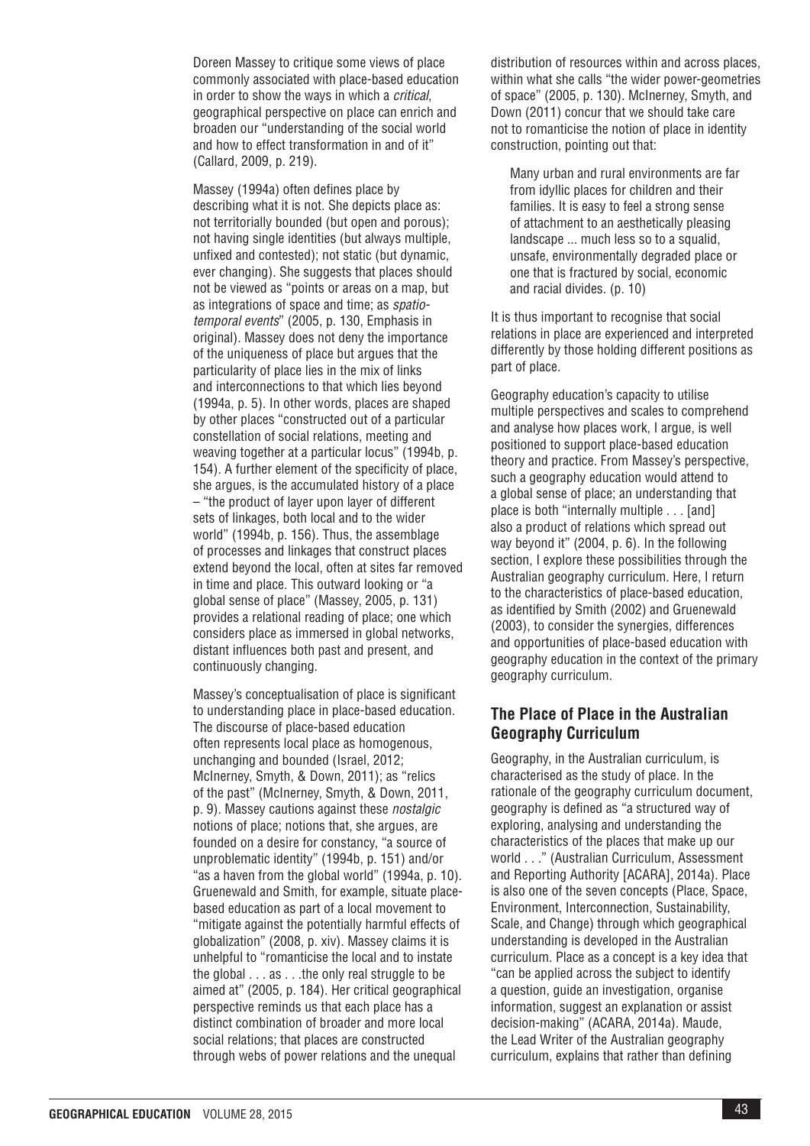Doreen Massey to critique some views of place commonly associated with place-based education in order to show the ways in which a *critical*, geographical perspective on place can enrich and broaden our "understanding of the social world and how to effect transformation in and of it" (Callard, 2009, p. 219).

Massey (1994a) often defines place by describing what it is not. She depicts place as: not territorially bounded (but open and porous); not having single identities (but always multiple, unfixed and contested); not static (but dynamic, ever changing). She suggests that places should not be viewed as "points or areas on a map, but as integrations of space and time; as *spatiotemporal events*" (2005, p. 130, Emphasis in original). Massey does not deny the importance of the uniqueness of place but argues that the particularity of place lies in the mix of links and interconnections to that which lies beyond (1994a, p. 5). In other words, places are shaped by other places "constructed out of a particular constellation of social relations, meeting and weaving together at a particular locus" (1994b, p. 154). A further element of the specificity of place, she argues, is the accumulated history of a place – "the product of layer upon layer of different sets of linkages, both local and to the wider world" (1994b, p. 156). Thus, the assemblage of processes and linkages that construct places extend beyond the local, often at sites far removed in time and place. This outward looking or "a global sense of place" (Massey, 2005, p. 131) provides a relational reading of place; one which considers place as immersed in global networks, distant influences both past and present, and continuously changing.

Massey's conceptualisation of place is significant to understanding place in place-based education. The discourse of place-based education often represents local place as homogenous, unchanging and bounded (Israel, 2012; McInerney, Smyth, & Down, 2011); as "relics of the past" (McInerney, Smyth, & Down, 2011, p. 9). Massey cautions against these *nostalgic* notions of place; notions that, she argues, are founded on a desire for constancy, "a source of unproblematic identity" (1994b, p. 151) and/or "as a haven from the global world" (1994a, p. 10). Gruenewald and Smith, for example, situate placebased education as part of a local movement to "mitigate against the potentially harmful effects of globalization" (2008, p. xiv). Massey claims it is unhelpful to "romanticise the local and to instate the global . . . as . . .the only real struggle to be aimed at" (2005, p. 184). Her critical geographical perspective reminds us that each place has a distinct combination of broader and more local social relations; that places are constructed through webs of power relations and the unequal

distribution of resources within and across places, within what she calls "the wider power-geometries of space" (2005, p. 130). McInerney, Smyth, and Down (2011) concur that we should take care not to romanticise the notion of place in identity construction, pointing out that:

Many urban and rural environments are far from idyllic places for children and their families. It is easy to feel a strong sense of attachment to an aesthetically pleasing landscape ... much less so to a squalid, unsafe, environmentally degraded place or one that is fractured by social, economic and racial divides. (p. 10)

It is thus important to recognise that social relations in place are experienced and interpreted differently by those holding different positions as part of place.

Geography education's capacity to utilise multiple perspectives and scales to comprehend and analyse how places work, I argue, is well positioned to support place-based education theory and practice. From Massey's perspective, such a geography education would attend to a global sense of place; an understanding that place is both "internally multiple . . . [and] also a product of relations which spread out way beyond it" (2004, p. 6). In the following section, I explore these possibilities through the Australian geography curriculum. Here, I return to the characteristics of place-based education, as identified by Smith (2002) and Gruenewald (2003), to consider the synergies, differences and opportunities of place-based education with geography education in the context of the primary geography curriculum.

## **The Place of Place in the Australian Geography Curriculum**

Geography, in the Australian curriculum, is characterised as the study of place. In the rationale of the geography curriculum document, geography is defined as "a structured way of exploring, analysing and understanding the characteristics of the places that make up our world . . ." (Australian Curriculum, Assessment and Reporting Authority [ACARA], 2014a). Place is also one of the seven concepts (Place, Space, Environment, Interconnection, Sustainability, Scale, and Change) through which geographical understanding is developed in the Australian curriculum. Place as a concept is a key idea that "can be applied across the subject to identify a question, guide an investigation, organise information, suggest an explanation or assist decision-making" (ACARA, 2014a). Maude, the Lead Writer of the Australian geography curriculum, explains that rather than defining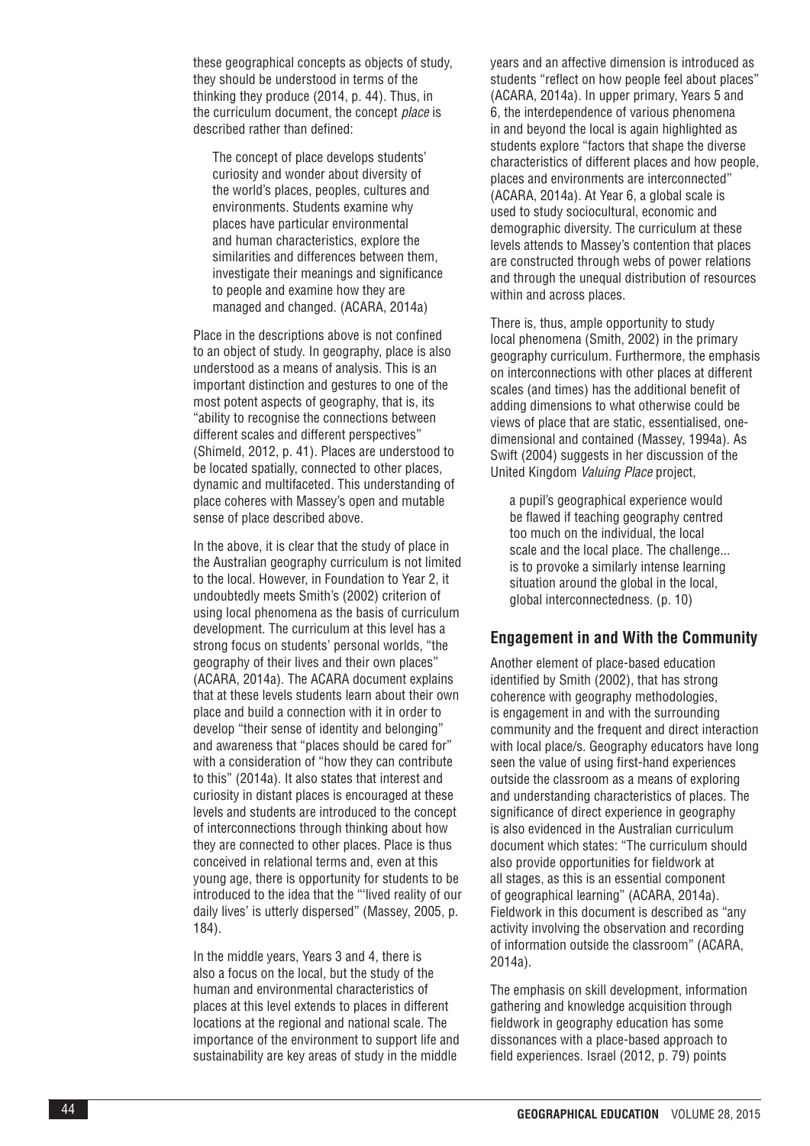these geographical concepts as objects of study, they should be understood in terms of the thinking they produce (2014, p. 44). Thus, in the curriculum document, the concept *place* is described rather than defined:

The concept of place develops students' curiosity and wonder about diversity of the world's places, peoples, cultures and environments. Students examine why places have particular environmental and human characteristics, explore the similarities and differences between them, investigate their meanings and significance to people and examine how they are managed and changed. (ACARA, 2014a)

Place in the descriptions above is not confined to an object of study. In geography, place is also understood as a means of analysis. This is an important distinction and gestures to one of the most potent aspects of geography, that is, its "ability to recognise the connections between different scales and different perspectives" (Shimeld, 2012, p. 41). Places are understood to be located spatially, connected to other places, dynamic and multifaceted. This understanding of place coheres with Massey's open and mutable sense of place described above.

In the above, it is clear that the study of place in the Australian geography curriculum is not limited to the local. However, in Foundation to Year 2, it undoubtedly meets Smith's (2002) criterion of using local phenomena as the basis of curriculum development. The curriculum at this level has a strong focus on students' personal worlds, "the geography of their lives and their own places" (ACARA, 2014a). The ACARA document explains that at these levels students learn about their own place and build a connection with it in order to develop "their sense of identity and belonging" and awareness that "places should be cared for" with a consideration of "how they can contribute to this" (2014a). It also states that interest and curiosity in distant places is encouraged at these levels and students are introduced to the concept of interconnections through thinking about how they are connected to other places. Place is thus conceived in relational terms and, even at this young age, there is opportunity for students to be introduced to the idea that the "'lived reality of our daily lives' is utterly dispersed" (Massey, 2005, p. 184).

In the middle years, Years 3 and 4, there is also a focus on the local, but the study of the human and environmental characteristics of places at this level extends to places in different locations at the regional and national scale. The importance of the environment to support life and sustainability are key areas of study in the middle

years and an affective dimension is introduced as students "reflect on how people feel about places" (ACARA, 2014a). In upper primary, Years 5 and 6, the interdependence of various phenomena in and beyond the local is again highlighted as students explore "factors that shape the diverse characteristics of different places and how people, places and environments are interconnected" (ACARA, 2014a). At Year 6, a global scale is used to study sociocultural, economic and demographic diversity. The curriculum at these levels attends to Massey's contention that places are constructed through webs of power relations and through the unequal distribution of resources within and across places.

There is, thus, ample opportunity to study local phenomena (Smith, 2002) in the primary geography curriculum. Furthermore, the emphasis on interconnections with other places at different scales (and times) has the additional benefit of adding dimensions to what otherwise could be views of place that are static, essentialised, onedimensional and contained (Massey, 1994a). As Swift (2004) suggests in her discussion of the United Kingdom *Valuing Place* project,

a pupil's geographical experience would be flawed if teaching geography centred too much on the individual, the local scale and the local place. The challenge... is to provoke a similarly intense learning situation around the global in the local, global interconnectedness. (p. 10)

#### **Engagement in and With the Community**

Another element of place-based education identified by Smith (2002), that has strong coherence with geography methodologies, is engagement in and with the surrounding community and the frequent and direct interaction with local place/s. Geography educators have long seen the value of using first-hand experiences outside the classroom as a means of exploring and understanding characteristics of places. The significance of direct experience in geography is also evidenced in the Australian curriculum document which states: "The curriculum should also provide opportunities for fieldwork at all stages, as this is an essential component of geographical learning" (ACARA, 2014a). Fieldwork in this document is described as "any activity involving the observation and recording of information outside the classroom" (ACARA, 2014a).

The emphasis on skill development, information gathering and knowledge acquisition through fieldwork in geography education has some dissonances with a place-based approach to field experiences. Israel (2012, p. 79) points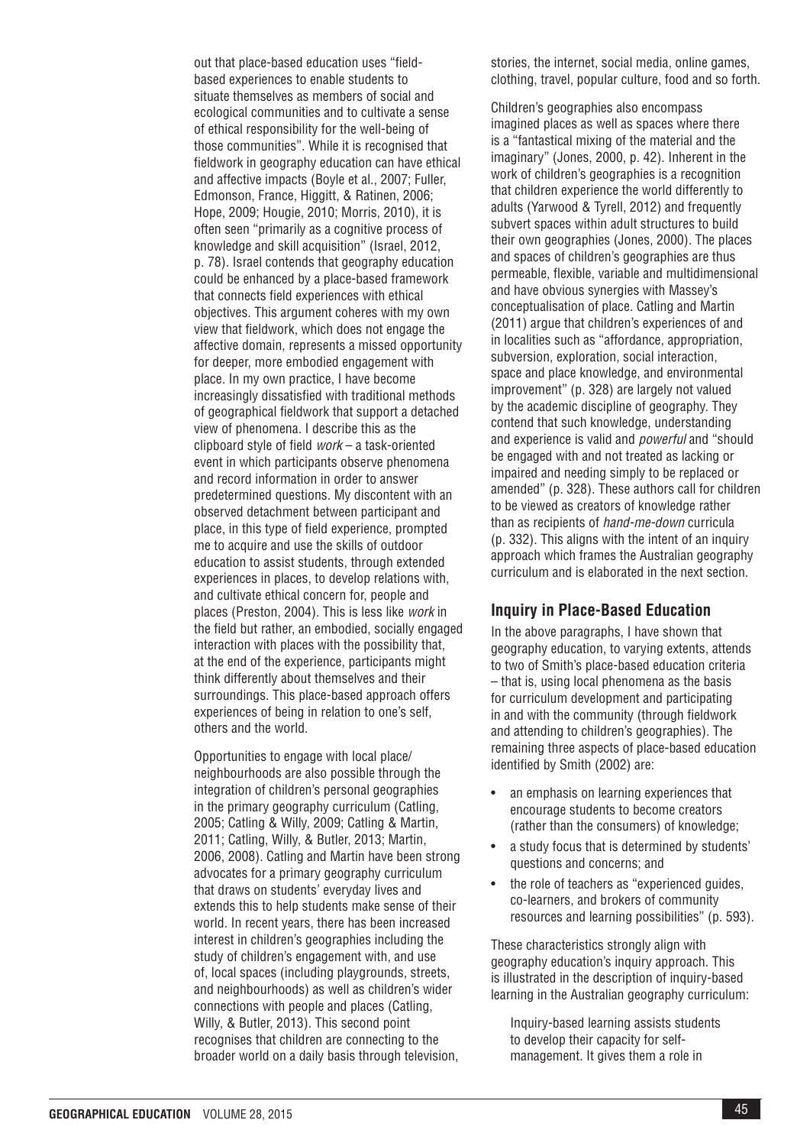out that place-based education uses "fieldbased experiences to enable students to situate themselves as members of social and ecological communities and to cultivate a sense of ethical responsibility for the well-being of those communities". While it is recognised that fieldwork in geography education can have ethical and affective impacts (Boyle et al., 2007; Fuller, Edmonson, France, Higgitt, & Ratinen, 2006; Hope, 2009; Hougie, 2010; Morris, 2010), it is often seen "primarily as a cognitive process of knowledge and skill acquisition" (Israel, 2012, p. 78). Israel contends that geography education could be enhanced by a place-based framework that connects field experiences with ethical objectives. This argument coheres with my own view that fieldwork, which does not engage the affective domain, represents a missed opportunity for deeper, more embodied engagement with place. In my own practice, I have become increasingly dissatisfied with traditional methods of geographical fieldwork that support a detached view of phenomena. I describe this as the clipboard style of field *work* – a task-oriented event in which participants observe phenomena and record information in order to answer predetermined questions. My discontent with an observed detachment between participant and place, in this type of field experience, prompted me to acquire and use the skills of outdoor education to assist students, through extended experiences in places, to develop relations with, and cultivate ethical concern for, people and places (Preston, 2004). This is less like *work* in the field but rather, an embodied, socially engaged interaction with places with the possibility that, at the end of the experience, participants might think differently about themselves and their surroundings. This place-based approach offers experiences of being in relation to one's self, others and the world.

Opportunities to engage with local place/ neighbourhoods are also possible through the integration of children's personal geographies in the primary geography curriculum (Catling, 2005; Catling & Willy, 2009; Catling & Martin, 2011; Catling, Willy, & Butler, 2013; Martin, 2006, 2008). Catling and Martin have been strong advocates for a primary geography curriculum that draws on students' everyday lives and extends this to help students make sense of their world. In recent years, there has been increased interest in children's geographies including the study of children's engagement with, and use of, local spaces (including playgrounds, streets, and neighbourhoods) as well as children's wider connections with people and places (Catling, Willy, & Butler, 2013). This second point recognises that children are connecting to the broader world on a daily basis through television,

stories, the internet, social media, online games, clothing, travel, popular culture, food and so forth.

Children's geographies also encompass imagined places as well as spaces where there is a "fantastical mixing of the material and the imaginary" (Jones, 2000, p. 42). Inherent in the work of children's geographies is a recognition that children experience the world differently to adults (Yarwood & Tyrell, 2012) and frequently subvert spaces within adult structures to build their own geographies (Jones, 2000). The places and spaces of children's geographies are thus permeable, flexible, variable and multidimensional and have obvious synergies with Massey's conceptualisation of place. Catling and Martin (2011) argue that children's experiences of and in localities such as "affordance, appropriation, subversion, exploration, social interaction, space and place knowledge, and environmental improvement" (p. 328) are largely not valued by the academic discipline of geography. They contend that such knowledge, understanding and experience is valid and *powerful* and "should be engaged with and not treated as lacking or impaired and needing simply to be replaced or amended" (p. 328). These authors call for children to be viewed as creators of knowledge rather than as recipients of *hand-me-down* curricula (p. 332). This aligns with the intent of an inquiry approach which frames the Australian geography curriculum and is elaborated in the next section.

#### **Inquiry in Place-Based Education**

In the above paragraphs, I have shown that geography education, to varying extents, attends to two of Smith's place-based education criteria – that is, using local phenomena as the basis for curriculum development and participating in and with the community (through fieldwork and attending to children's geographies). The remaining three aspects of place-based education identified by Smith (2002) are:

- an emphasis on learning experiences that encourage students to become creators (rather than the consumers) of knowledge;
- a study focus that is determined by students' questions and concerns; and
- the role of teachers as "experienced guides, co-learners, and brokers of community resources and learning possibilities" (p. 593).

These characteristics strongly align with geography education's inquiry approach. This is illustrated in the description of inquiry-based learning in the Australian geography curriculum:

Inquiry-based learning assists students to develop their capacity for selfmanagement. It gives them a role in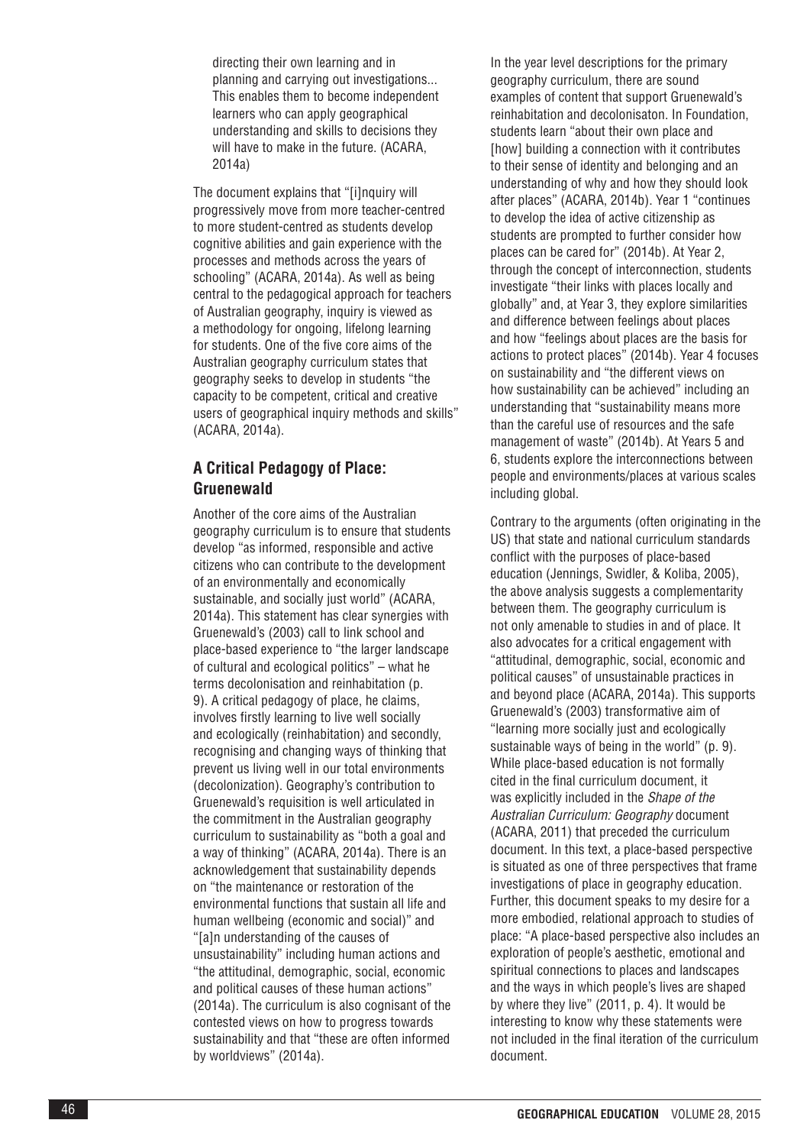directing their own learning and in planning and carrying out investigations... This enables them to become independent learners who can apply geographical understanding and skills to decisions they will have to make in the future. (ACARA, 2014a)

The document explains that "[i]nquiry will progressively move from more teacher-centred to more student-centred as students develop cognitive abilities and gain experience with the processes and methods across the years of schooling" (ACARA, 2014a). As well as being central to the pedagogical approach for teachers of Australian geography, inquiry is viewed as a methodology for ongoing, lifelong learning for students. One of the five core aims of the Australian geography curriculum states that geography seeks to develop in students "the capacity to be competent, critical and creative users of geographical inquiry methods and skills" (ACARA, 2014a).

# **A Critical Pedagogy of Place: Gruenewald**

Another of the core aims of the Australian geography curriculum is to ensure that students develop "as informed, responsible and active citizens who can contribute to the development of an environmentally and economically sustainable, and socially just world" (ACARA, 2014a). This statement has clear synergies with Gruenewald's (2003) call to link school and place-based experience to "the larger landscape of cultural and ecological politics" – what he terms decolonisation and reinhabitation (p. 9). A critical pedagogy of place, he claims, involves firstly learning to live well socially and ecologically (reinhabitation) and secondly, recognising and changing ways of thinking that prevent us living well in our total environments (decolonization). Geography's contribution to Gruenewald's requisition is well articulated in the commitment in the Australian geography curriculum to sustainability as "both a goal and a way of thinking" (ACARA, 2014a). There is an acknowledgement that sustainability depends on "the maintenance or restoration of the environmental functions that sustain all life and human wellbeing (economic and social)" and "[a]n understanding of the causes of unsustainability" including human actions and "the attitudinal, demographic, social, economic and political causes of these human actions" (2014a). The curriculum is also cognisant of the contested views on how to progress towards sustainability and that "these are often informed by worldviews" (2014a).

In the year level descriptions for the primary geography curriculum, there are sound examples of content that support Gruenewald's reinhabitation and decolonisaton. In Foundation, students learn "about their own place and [how] building a connection with it contributes to their sense of identity and belonging and an understanding of why and how they should look after places" (ACARA, 2014b). Year 1 "continues to develop the idea of active citizenship as students are prompted to further consider how places can be cared for" (2014b). At Year 2, through the concept of interconnection, students investigate "their links with places locally and globally" and, at Year 3, they explore similarities and difference between feelings about places and how "feelings about places are the basis for actions to protect places" (2014b). Year 4 focuses on sustainability and "the different views on how sustainability can be achieved" including an understanding that "sustainability means more than the careful use of resources and the safe management of waste" (2014b). At Years 5 and 6, students explore the interconnections between people and environments/places at various scales including global.

Contrary to the arguments (often originating in the US) that state and national curriculum standards conflict with the purposes of place-based education (Jennings, Swidler, & Koliba, 2005), the above analysis suggests a complementarity between them. The geography curriculum is not only amenable to studies in and of place. It also advocates for a critical engagement with "attitudinal, demographic, social, economic and political causes" of unsustainable practices in and beyond place (ACARA, 2014a). This supports Gruenewald's (2003) transformative aim of "learning more socially just and ecologically sustainable ways of being in the world" (p. 9). While place-based education is not formally cited in the final curriculum document, it was explicitly included in the *Shape of the Australian Curriculum: Geography* document (ACARA, 2011) that preceded the curriculum document. In this text, a place-based perspective is situated as one of three perspectives that frame investigations of place in geography education. Further, this document speaks to my desire for a more embodied, relational approach to studies of place: "A place-based perspective also includes an exploration of people's aesthetic, emotional and spiritual connections to places and landscapes and the ways in which people's lives are shaped by where they live" (2011, p. 4). It would be interesting to know why these statements were not included in the final iteration of the curriculum document.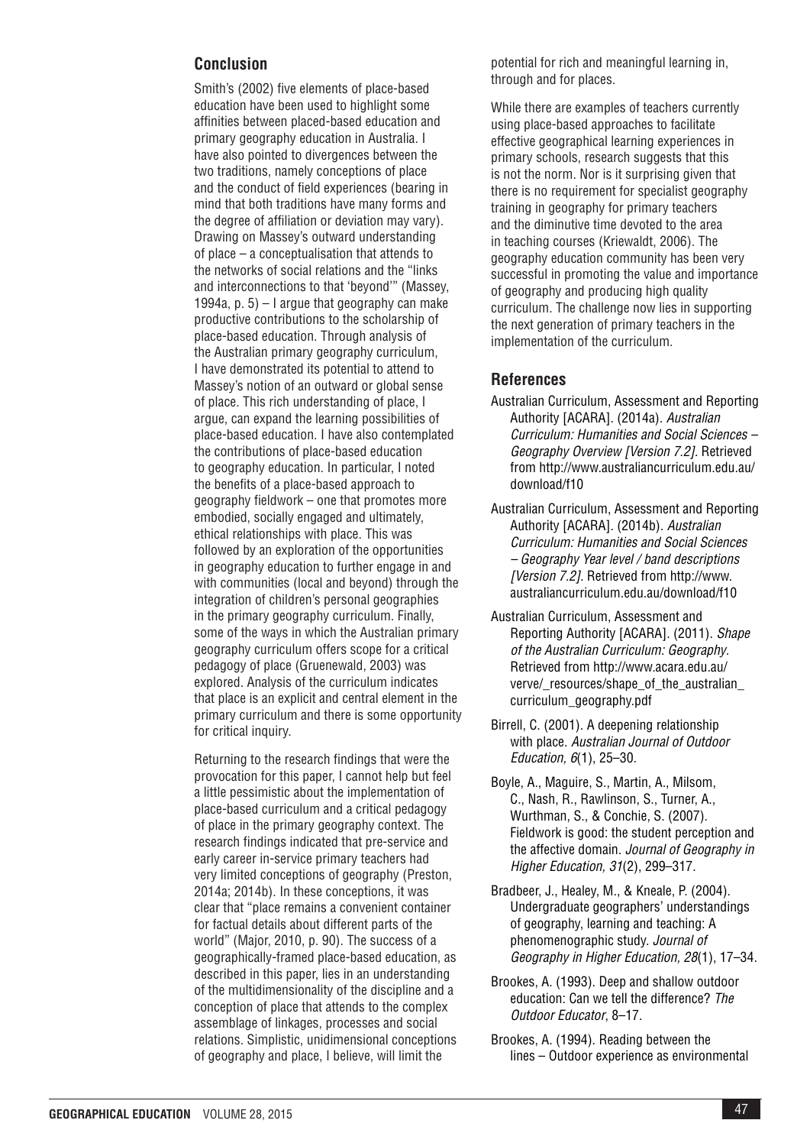## **Conclusion**

Smith's (2002) five elements of place-based education have been used to highlight some affinities between placed-based education and primary geography education in Australia. I have also pointed to divergences between the two traditions, namely conceptions of place and the conduct of field experiences (bearing in mind that both traditions have many forms and the degree of affiliation or deviation may vary). Drawing on Massey's outward understanding of place – a conceptualisation that attends to the networks of social relations and the "links and interconnections to that 'beyond'" (Massey, 1994a, p.  $5$ ) – I argue that geography can make productive contributions to the scholarship of place-based education. Through analysis of the Australian primary geography curriculum, I have demonstrated its potential to attend to Massey's notion of an outward or global sense of place. This rich understanding of place, I argue, can expand the learning possibilities of place-based education. I have also contemplated the contributions of place-based education to geography education. In particular, I noted the benefits of a place-based approach to geography fieldwork – one that promotes more embodied, socially engaged and ultimately, ethical relationships with place. This was followed by an exploration of the opportunities in geography education to further engage in and with communities (local and beyond) through the integration of children's personal geographies in the primary geography curriculum. Finally, some of the ways in which the Australian primary geography curriculum offers scope for a critical pedagogy of place (Gruenewald, 2003) was explored. Analysis of the curriculum indicates that place is an explicit and central element in the primary curriculum and there is some opportunity for critical inquiry.

Returning to the research findings that were the provocation for this paper, I cannot help but feel a little pessimistic about the implementation of place-based curriculum and a critical pedagogy of place in the primary geography context. The research findings indicated that pre-service and early career in-service primary teachers had very limited conceptions of geography (Preston, 2014a; 2014b). In these conceptions, it was clear that "place remains a convenient container for factual details about different parts of the world" (Major, 2010, p. 90). The success of a geographically-framed place-based education, as described in this paper, lies in an understanding of the multidimensionality of the discipline and a conception of place that attends to the complex assemblage of linkages, processes and social relations. Simplistic, unidimensional conceptions of geography and place, I believe, will limit the

potential for rich and meaningful learning in, through and for places.

While there are examples of teachers currently using place-based approaches to facilitate effective geographical learning experiences in primary schools, research suggests that this is not the norm. Nor is it surprising given that there is no requirement for specialist geography training in geography for primary teachers and the diminutive time devoted to the area in teaching courses (Kriewaldt, 2006). The geography education community has been very successful in promoting the value and importance of geography and producing high quality curriculum. The challenge now lies in supporting the next generation of primary teachers in the implementation of the curriculum.

## **References**

- Australian Curriculum, Assessment and Reporting Authority [ACARA]. (2014a). *Australian Curriculum: Humanities and Social Sciences – Geography Overview [Version 7.2].* Retrieved from http://www.australiancurriculum.edu.au/ download/f10
- Australian Curriculum, Assessment and Reporting Authority [ACARA]. (2014b). *Australian Curriculum: Humanities and Social Sciences – Geography Year level / band descriptions [Version 7.2].* Retrieved from http://www. australiancurriculum.edu.au/download/f10
- Australian Curriculum, Assessment and Reporting Authority [ACARA]. (2011). *Shape of the Australian Curriculum: Geography*. Retrieved from http://www.acara.edu.au/ verve/\_resources/shape\_of\_the\_australian curriculum\_geography.pdf
- Birrell, C. (2001). A deepening relationship with place. *Australian Journal of Outdoor Education, 6*(1), 25–30.
- Boyle, A., Maguire, S., Martin, A., Milsom, C., Nash, R., Rawlinson, S., Turner, A., Wurthman, S., & Conchie, S. (2007). Fieldwork is good: the student perception and the affective domain. *Journal of Geography in Higher Education, 31*(2), 299–317.
- Bradbeer, J., Healey, M., & Kneale, P. (2004). Undergraduate geographers' understandings of geography, learning and teaching: A phenomenographic study. *Journal of Geography in Higher Education, 28*(1), 17–34.
- Brookes, A. (1993). Deep and shallow outdoor education: Can we tell the difference? *The Outdoor Educator*, 8–17.
- Brookes, A. (1994). Reading between the lines – Outdoor experience as environmental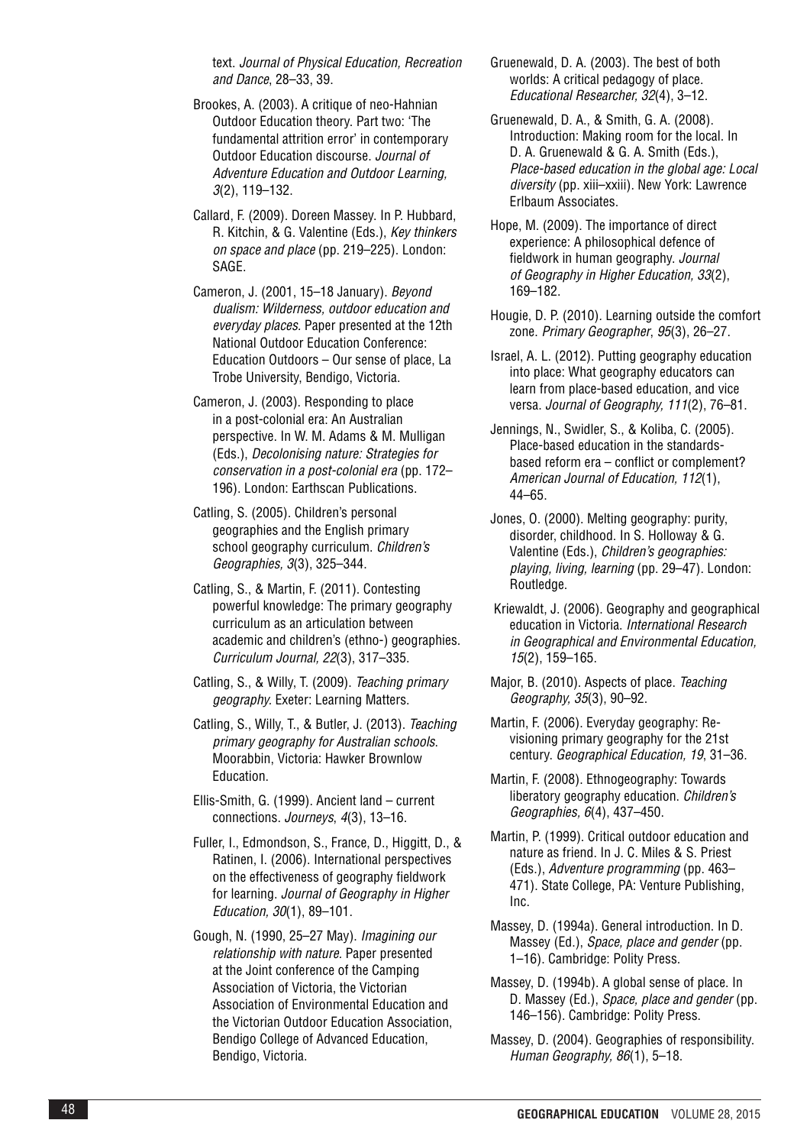text. *Journal of Physical Education, Recreation and Dance*, 28–33, 39.

- Brookes, A. (2003). A critique of neo-Hahnian Outdoor Education theory. Part two: 'The fundamental attrition error' in contemporary Outdoor Education discourse. *Journal of Adventure Education and Outdoor Learning, 3*(2), 119–132.
- Callard, F. (2009). Doreen Massey. In P. Hubbard, R. Kitchin, & G. Valentine (Eds.), *Key thinkers on space and place* (pp. 219–225). London: SAGE.
- Cameron, J. (2001, 15–18 January). *Beyond dualism: Wilderness, outdoor education and everyday places.* Paper presented at the 12th National Outdoor Education Conference: Education Outdoors – Our sense of place, La Trobe University, Bendigo, Victoria.
- Cameron, J. (2003). Responding to place in a post-colonial era: An Australian perspective. In W. M. Adams & M. Mulligan (Eds.), *Decolonising nature: Strategies for conservation in a post-colonial era* (pp. 172– 196). London: Earthscan Publications.
- Catling, S. (2005). Children's personal geographies and the English primary school geography curriculum. *Children's Geographies, 3*(3), 325–344.
- Catling, S., & Martin, F. (2011). Contesting powerful knowledge: The primary geography curriculum as an articulation between academic and children's (ethno-) geographies. *Curriculum Journal, 22*(3), 317–335.
- Catling, S., & Willy, T. (2009). *Teaching primary geography.* Exeter: Learning Matters.
- Catling, S., Willy, T., & Butler, J. (2013). *Teaching primary geography for Australian schools*. Moorabbin, Victoria: Hawker Brownlow Education.
- Ellis-Smith, G. (1999). Ancient land current connections. *Journeys* , *4*(3), 13–16.
- Fuller, I., Edmondson, S., France, D., Higgitt, D., & Ratinen, I. (2006). International perspectives on the effectiveness of geography fieldwork for learning. *Journal of Geography in Higher Education, 30*(1), 89–101.
- Gough, N. (1990, 25–27 May). *Imagining our relationship with nature.* Paper presented at the Joint conference of the Camping Association of Victoria, the Victorian Association of Environmental Education and the Victorian Outdoor Education Association, Bendigo College of Advanced Education, Bendigo, Victoria.
- Gruenewald, D. A. (2003). The best of both worlds: A critical pedagogy of place. *Educational Researcher, 32*(4), 3–12.
- Gruenewald, D. A., & Smith, G. A. (2008). Introduction: Making room for the local. In D. A. Gruenewald & G. A. Smith (Eds.), *Place-based education in the global age: Local diversity* (pp. xiii–xxiii). New York: Lawrence Erlbaum Associates.
- Hope, M. (2009). The importance of direct experience: A philosophical defence of fieldwork in human geography. *Journal of Geography in Higher Education, 33*(2), 169–182.
- Hougie, D. P. (2010)*.* Learning outside the comfort zone. *Primary Geographer*, *95*(3), 26–27.
- Israel, A. L. (2012). Putting geography education into place: What geography educators can learn from place-based education, and vice versa. *Journal of Geography, 111*(2), 76–81.
- Jennings, N., Swidler, S., & Koliba, C. (2005). Place‐based education in the standards‐ based reform era – conflict or complement? *American Journal of Education, 112*(1), 44–65.
- Jones, O. (2000). Melting geography: purity, disorder, childhood. In S. Holloway & G. Valentine (Eds.), *Children's geographies: playing, living, learning* (pp. 29–47). London: Routledge.
- Kriewaldt, J. (2006). Geography and geographical education in Victoria. *International Research in Geographical and Environmental Education, 15*(2), 159–165.
- Major, B. (2010). Aspects of place. *Teaching Geography, 35*(3), 90–92.
- Martin, F. (2006). Everyday geography: Revisioning primary geography for the 21st century. *Geographical Education, 19*, 31–36.
- Martin, F. (2008). Ethnogeography: Towards liberatory geography education. *Children's Geographies, 6*(4), 437–450.
- Martin, P. (1999). Critical outdoor education and nature as friend. In J. C. Miles & S. Priest (Eds.), *Adventure programming* (pp. 463– 471). State College, PA: Venture Publishing, Inc.
- Massey, D. (1994a). General introduction. In D. Massey (Ed.), *Space, place and gender* (pp. 1–16). Cambridge: Polity Press.
- Massey, D. (1994b). A global sense of place. In D. Massey (Ed.), *Space, place and gender* (pp. 146–156). Cambridge: Polity Press.
- Massey, D. (2004). Geographies of responsibility. *Human Geography, 86*(1), 5–18.